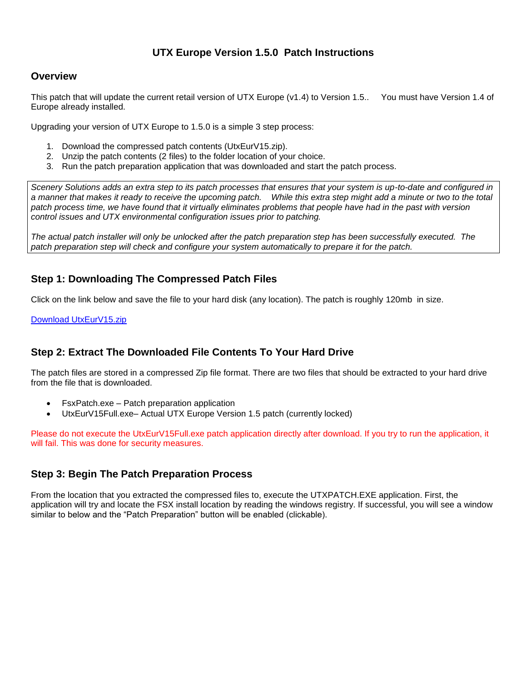## **UTX Europe Version 1.5.0 Patch Instructions**

#### **Overview**

This patch that will update the current retail version of UTX Europe (v1.4) to Version 1.5.. You must have Version 1.4 of Europe already installed.

Upgrading your version of UTX Europe to 1.5.0 is a simple 3 step process:

- 1. Download the compressed patch contents (UtxEurV15.zip).
- 2. Unzip the patch contents (2 files) to the folder location of your choice.
- 3. Run the patch preparation application that was downloaded and start the patch process.

*Scenery Solutions adds an extra step to its patch processes that ensures that your system is up-to-date and configured in a manner that makes it ready to receive the upcoming patch. While this extra step might add a minute or two to the total patch process time, we have found that it virtually eliminates problems that people have had in the past with version control issues and UTX environmental configuration issues prior to patching.*

*The actual patch installer will only be unlocked after the patch preparation step has been successfully executed. The patch preparation step will check and configure your system automatically to prepare it for the patch.*

## **Step 1: Downloading The Compressed Patch Files**

Click on the link below and save the file to your hard disk (any location). The patch is roughly 120mb in size.

[Download UtxEurV15.zip](http://files.100megabyte.com/ultterrain/UtxEurV15.zip)

## **Step 2: Extract The Downloaded File Contents To Your Hard Drive**

The patch files are stored in a compressed Zip file format. There are two files that should be extracted to your hard drive from the file that is downloaded.

- FsxPatch.exe Patch preparation application
- UtxEurV15Full.exe– Actual UTX Europe Version 1.5 patch (currently locked)

Please do not execute the UtxEurV15Full.exe patch application directly after download. If you try to run the application, it will fail. This was done for security measures.

#### **Step 3: Begin The Patch Preparation Process**

From the location that you extracted the compressed files to, execute the UTXPATCH.EXE application. First, the application will try and locate the FSX install location by reading the windows registry. If successful, you will see a window similar to below and the "Patch Preparation" button will be enabled (clickable).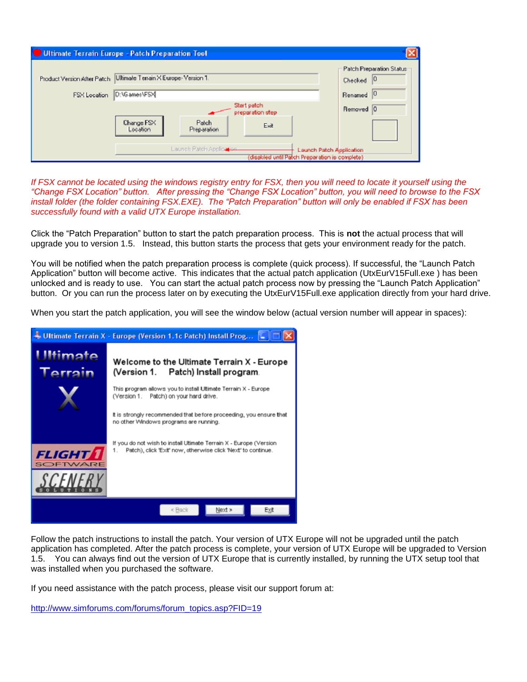| <b>Ultimate Terrain Europe - Patch Preparation Tool</b> |                                                                                                         |                                 |      |                                            |
|---------------------------------------------------------|---------------------------------------------------------------------------------------------------------|---------------------------------|------|--------------------------------------------|
|                                                         | Product Version After Patch Ultimate Terrain X Europe- Version 1.                                       |                                 |      | Patch Preparation Status:<br>10<br>Checked |
| FSX Location                                            | D:\Games\FSX                                                                                            |                                 |      | 10<br>Renamed                              |
|                                                         |                                                                                                         | Start patch<br>preparation step |      | Removed 0                                  |
|                                                         | Change FSX<br>Location                                                                                  | Patch<br>Preparation            | Exit |                                            |
|                                                         | Launch Patch Application<br>Launch Patch Application<br>(disabled until Patch Preparation is complete). |                                 |      |                                            |

If FSX cannot be located using the windows registry entry for FSX, then you will need to locate it yourself using the *"Change FSX Location" button. After pressing the "Change FSX Location" button, you will need to browse to the FSX install folder (the folder containing FSX.EXE). The "Patch Preparation" button will only be enabled if FSX has been successfully found with a valid UTX Europe installation.* 

Click the "Patch Preparation" button to start the patch preparation process. This is **not** the actual process that will upgrade you to version 1.5. Instead, this button starts the process that gets your environment ready for the patch.

You will be notified when the patch preparation process is complete (quick process). If successful, the "Launch Patch Application" button will become active. This indicates that the actual patch application (UtxEurV15Full.exe ) has been unlocked and is ready to use. You can start the actual patch process now by pressing the "Launch Patch Application" button. Or you can run the process later on by executing the UtxEurV15Full.exe application directly from your hard drive.

When you start the patch application, you will see the window below (actual version number will appear in spaces):



Follow the patch instructions to install the patch. Your version of UTX Europe will not be upgraded until the patch application has completed. After the patch process is complete, your version of UTX Europe will be upgraded to Version 1.5. You can always find out the version of UTX Europe that is currently installed, by running the UTX setup tool that was installed when you purchased the software.

If you need assistance with the patch process, please visit our support forum at:

http://www.simforums.com/forums/forum\_topics.asp?FID=19